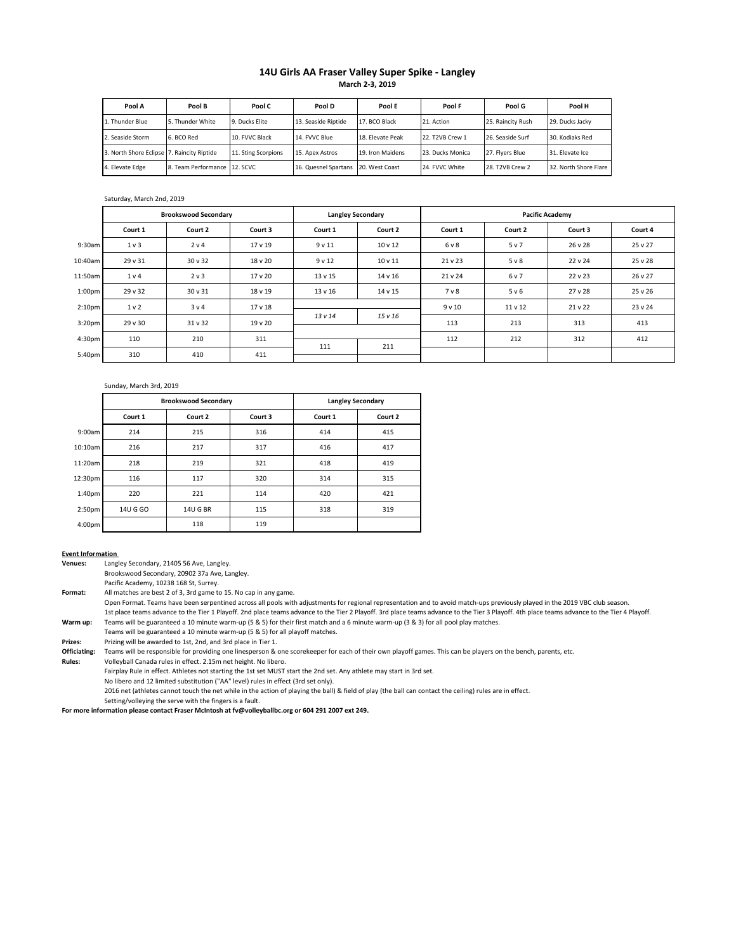### **14U Girls AA Fraser Valley Super Spike - Langley March 2-3, 2019**

| Pool A                                     | Pool B                       | Pool C              | Pool D               | Pool E           | Pool F           | Pool G            | Pool H                |
|--------------------------------------------|------------------------------|---------------------|----------------------|------------------|------------------|-------------------|-----------------------|
| 1. Thunder Blue                            | 5. Thunder White             | 9. Ducks Flite      | 13. Seaside Riptide  | 17. BCO Black    | 21. Action       | 25. Raincity Rush | 29. Ducks Jacky       |
| 2. Seaside Storm                           | 6. BCO Red                   | 10. EVVC Black      | 14. FVVC Blue        | 18. Flevate Peak | 22. T2VB Crew 1  | 26. Seaside Surf  | 30. Kodiaks Red       |
| 3. North Shore Eclipse 7. Raincity Riptide |                              | 11. Sting Scorpions | 15. Apex Astros      | 19. Iron Maidens | 23. Ducks Monica | 27. Flyers Blue   | 31. Elevate Ice       |
| 4. Elevate Edge                            | 8. Team Performance 12. SCVC |                     | 16. Quesnel Spartans | 20. West Coast   | 24. FVVC White   | 28. T2VB Crew 2   | 32. North Shore Flare |

#### Saturday, March 2nd, 2019

|                    | <b>Brookswood Secondary</b> |              | <b>Langley Secondary</b> |          | <b>Pacific Academy</b> |         |         |         |         |
|--------------------|-----------------------------|--------------|--------------------------|----------|------------------------|---------|---------|---------|---------|
|                    | Court 1                     | Court 2      | Court 3                  | Court 1  | Court 2                | Court 1 | Court 2 | Court 3 | Court 4 |
| 9:30am             | $1v$ 3                      | 2 v 4        | 17 <sub>v</sub> 19       | 9v11     | $10 \vee 12$           | 6 v 8   | 5 v 7   | 26 v 28 | 25 v 27 |
| 10:40am            | 29 v 31                     | 30 v 32      | 18 v 20                  | $9$ v 12 | $10 \vee 11$           | 21 v 23 | $5v$ 8  | 22 v 24 | 25 v 28 |
| 11:50am            | 1 <sub>v</sub> 4            | 2 v 3        | $17v$ 20                 | 13 v 15  | 14 v 16                | 21 v 24 | 6 v 7   | 22 v 23 | 26 v 27 |
| 1:00 <sub>pm</sub> | 29 v 32                     | 30 v 31      | 18 v 19                  | 13 v 16  | 14 v 15                | 7 v 8   | 5 v 6   | 27v28   | 25 v 26 |
| 2:10 <sub>pm</sub> | 1 <sub>v</sub>              | 3 v 4        | 17 <sub>v</sub> 18       |          |                        | 9v10    | 11 v 12 | 21 v 22 | 23 v 24 |
| 3:20 <sub>pm</sub> | 29 v 30                     | $31 \vee 32$ | $19v$ 20                 | 13v14    | 15v16                  | 113     | 213     | 313     | 413     |
| 4:30 <sub>pm</sub> | 110                         | 210          | 311                      |          |                        | 112     | 212     | 312     | 412     |
| 5:40pm             | 310                         | 410          | 411                      | 111      | 211                    |         |         |         |         |

#### Sunday, March 3rd, 2019

|                    |          | <b>Brookswood Secondary</b> |         | <b>Langley Secondary</b> |         |  |  |
|--------------------|----------|-----------------------------|---------|--------------------------|---------|--|--|
|                    | Court 1  | Court 2                     | Court 3 | Court 1                  | Court 2 |  |  |
| 9:00am             | 214      | 215                         | 316     | 414                      | 415     |  |  |
| 10:10am            | 216      | 217                         | 317     | 416                      | 417     |  |  |
| 11:20am            | 218      | 219                         | 321     | 418                      | 419     |  |  |
| 12:30pm            | 116      | 117                         | 320     | 314                      | 315     |  |  |
| 1:40 <sub>pm</sub> | 220      | 221                         | 114     | 420                      | 421     |  |  |
| 2:50 <sub>pm</sub> | 14U G GO | <b>14U G BR</b>             | 115     | 318                      | 319     |  |  |
| 4:00 <sub>pm</sub> |          | 118                         | 119     |                          |         |  |  |

#### **Event Information**

**Venues:** Langley Secondary, 21405 56 Ave, Langley.

Brookswood Secondary, 20902 37a Ave, Langley.

Pacific Academy, 10238 168 St, Surrey.

**Format:** All matches are best 2 of 3, 3rd game to 15. No cap in any game.

- Open Format. Teams have been serpentined across all pools with adjustments for regional representation and to avoid match-ups previously played in the 2019 VBC club season. 1st place teams advance to the Tier 1 Playoff. 2nd place teams advance to the Tier 2 Playoff. 3rd place teams advance to the Tier 4 Playoff. 4th place teams advance to the Tier 4 Playoff.
- **Warm up:** Teams will be guaranteed a 10 minute warm-up (5 & 5) for their first match and a 6 minute warm-up (3 & 3) for all pool play matches.

Teams will be guaranteed a 10 minute warm-up (5 & 5) for all playoff matches. **Prizes:** Prizing will be awarded to 1st, 2nd, and 3rd place in Tier 1.

**Officiating:** Teams will be responsible for providing one linesperson & one scorekeeper for each of their own playoff games. This can be players on the bench, parents, etc.

**Rules:** Volleyball Canada rules in effect. 2.15m net height. No libero.

Fairplay Rule in effect. Athletes not starting the 1st set MUST start the 2nd set. Any athlete may start in 3rd set.

No libero and 12 limited substitution ("AA" level) rules in effect (3rd set only).

2016 net (athletes cannot touch the net while in the action of playing the ball) & field of play (the ball can contact the ceiling) rules are in effect.

Setting/volleying the serve with the fingers is a fault.

**For more information please contact Fraser McIntosh at fv@volleyballbc.org or 604 291 2007 ext 249.**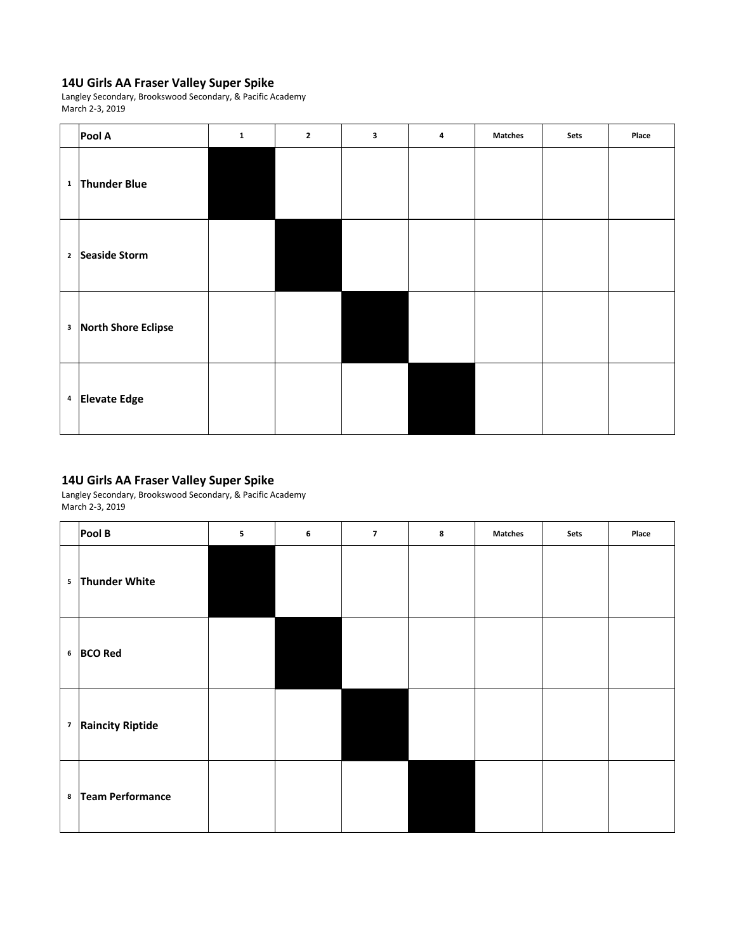Langley Secondary, Brookswood Secondary, & Pacific Academy March 2-3, 2019

| Pool A                           | $\mathbf{1}$ | $\mathbf{2}$ | $\mathbf{3}$ | $\overline{\mathbf{4}}$ | <b>Matches</b> | Sets | Place |
|----------------------------------|--------------|--------------|--------------|-------------------------|----------------|------|-------|
| <sup>1</sup> Thunder Blue        |              |              |              |                         |                |      |       |
| <sup>2</sup> Seaside Storm       |              |              |              |                         |                |      |       |
| <sup>3</sup> North Shore Eclipse |              |              |              |                         |                |      |       |
| $4$ Elevate Edge                 |              |              |              |                         |                |      |       |

# **14U Girls AA Fraser Valley Super Spike**

|         | PoolB                         | 5 | 6 | $\overline{\mathbf{z}}$ | 8 | <b>Matches</b> | Sets | Place |
|---------|-------------------------------|---|---|-------------------------|---|----------------|------|-------|
|         | 5 Thunder White               |   |   |                         |   |                |      |       |
|         | 6 BCO Red                     |   |   |                         |   |                |      |       |
|         | <sup>7</sup> Raincity Riptide |   |   |                         |   |                |      |       |
| $\bf 8$ | Team Performance              |   |   |                         |   |                |      |       |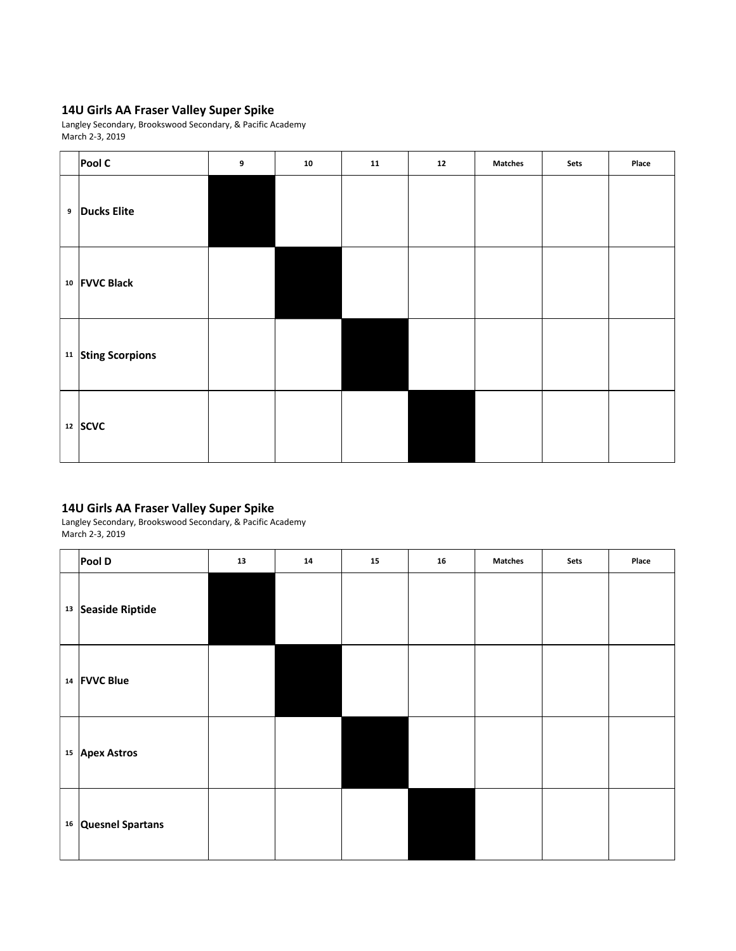Langley Secondary, Brookswood Secondary, & Pacific Academy March 2-3, 2019

| Pool C                        | 9 | 10 | 11 | 12 | <b>Matches</b> | Sets | Place |
|-------------------------------|---|----|----|----|----------------|------|-------|
| <sup>9</sup> Ducks Elite      |   |    |    |    |                |      |       |
| 10 FVVC Black                 |   |    |    |    |                |      |       |
| <sup>11</sup> Sting Scorpions |   |    |    |    |                |      |       |
| $12$ SCVC                     |   |    |    |    |                |      |       |

# **14U Girls AA Fraser Valley Super Spike**

| Pool D                    | 13 | 14 | 15 | 16 | <b>Matches</b> | Sets | Place |
|---------------------------|----|----|----|----|----------------|------|-------|
| 13 Seaside Riptide        |    |    |    |    |                |      |       |
| 14 FVVC Blue              |    |    |    |    |                |      |       |
| <sup>15</sup> Apex Astros |    |    |    |    |                |      |       |
| 16 Quesnel Spartans       |    |    |    |    |                |      |       |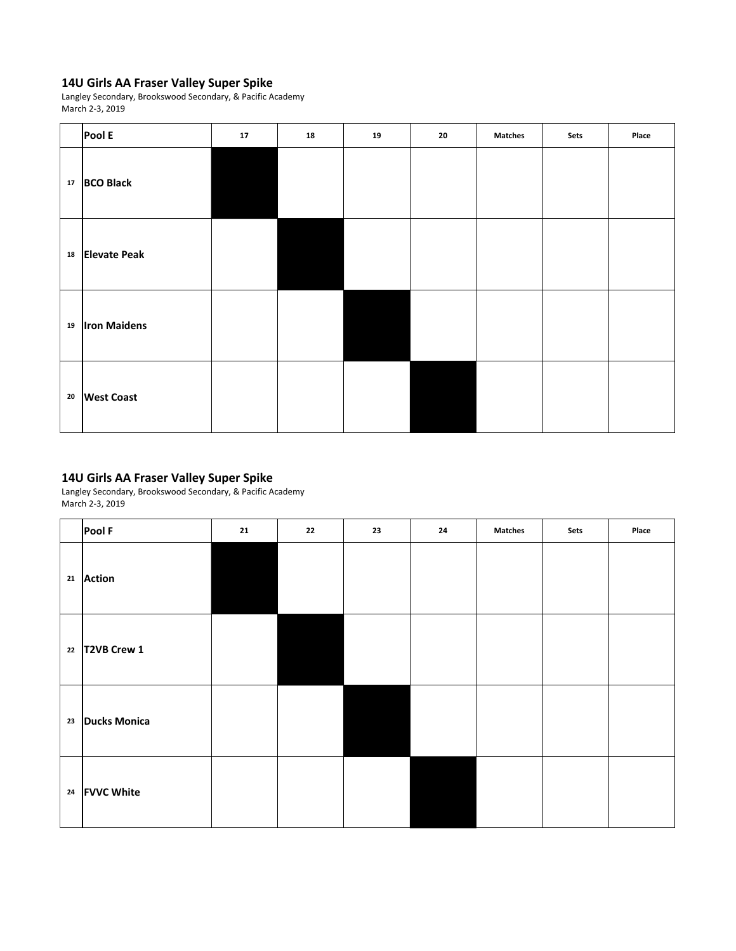Langley Secondary, Brookswood Secondary, & Pacific Academy March 2-3, 2019

|            | Pool E              | 17 | 18 | 19 | 20 | <b>Matches</b> | Sets | Place |
|------------|---------------------|----|----|----|----|----------------|------|-------|
| ${\bf 17}$ | <b>BCO Black</b>    |    |    |    |    |                |      |       |
| 18         | <b>Elevate Peak</b> |    |    |    |    |                |      |       |
| 19         | <b>Iron Maidens</b> |    |    |    |    |                |      |       |
| 20         | <b>West Coast</b>   |    |    |    |    |                |      |       |

# **14U Girls AA Fraser Valley Super Spike**

|    | Pool F                  | 21 | 22 | 23 | 24 | <b>Matches</b> | Sets | Place |
|----|-------------------------|----|----|----|----|----------------|------|-------|
|    | 21 Action               |    |    |    |    |                |      |       |
|    | 22 $\sqrt{72VB}$ Crew 1 |    |    |    |    |                |      |       |
| 23 | Ducks Monica            |    |    |    |    |                |      |       |
|    | 24 FVVC White           |    |    |    |    |                |      |       |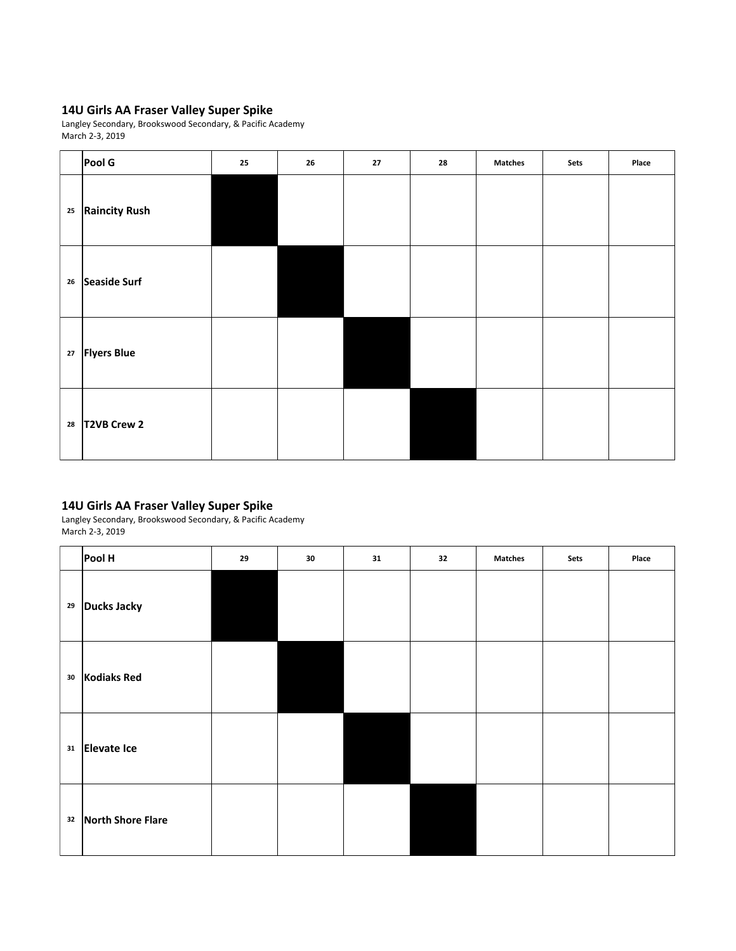Langley Secondary, Brookswood Secondary, & Pacific Academy March 2-3, 2019

|          | Pool G                      | 25 | 26 | 27 | 28 | <b>Matches</b> | Sets | Place |
|----------|-----------------------------|----|----|----|----|----------------|------|-------|
|          | <sup>25</sup> Raincity Rush |    |    |    |    |                |      |       |
| 26       | Seaside Surf                |    |    |    |    |                |      |       |
| $\bf 27$ | <b>Flyers Blue</b>          |    |    |    |    |                |      |       |
|          | $28$ T2VB Crew 2            |    |    |    |    |                |      |       |

### **14U Girls AA Fraser Valley Super Spike**

|    | Pool H                    | 29 | 30 | 31 | 32 | <b>Matches</b> | Sets | Place |
|----|---------------------------|----|----|----|----|----------------|------|-------|
|    | <sup>29</sup> Ducks Jacky |    |    |    |    |                |      |       |
| 30 | Kodiaks Red               |    |    |    |    |                |      |       |
| 31 | Elevate Ice               |    |    |    |    |                |      |       |
|    | 32 North Shore Flare      |    |    |    |    |                |      |       |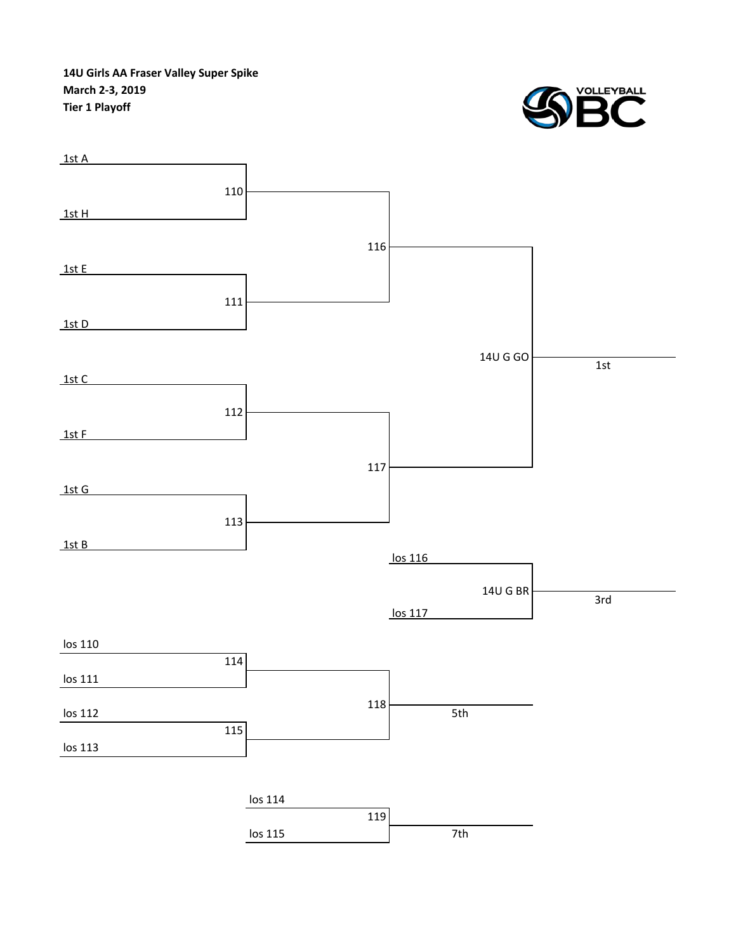**14U Girls AA Fraser Valley Super Spike March 2-3, 2019 Tier 1 Playoff**



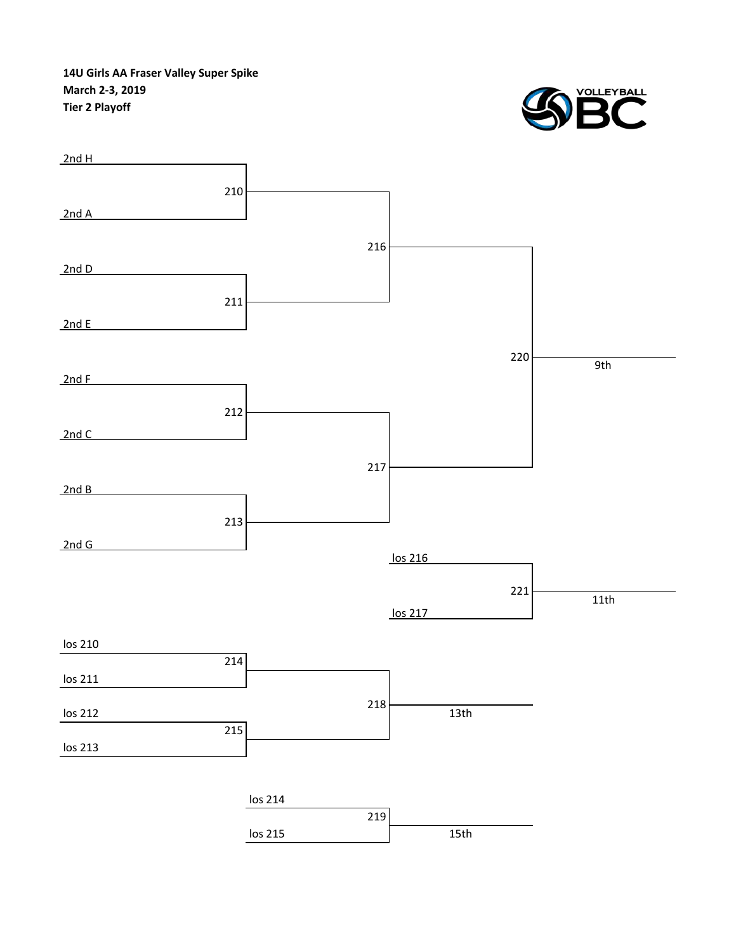**14U Girls AA Fraser Valley Super Spike March 2-3, 2019 Tier 2 Playoff**



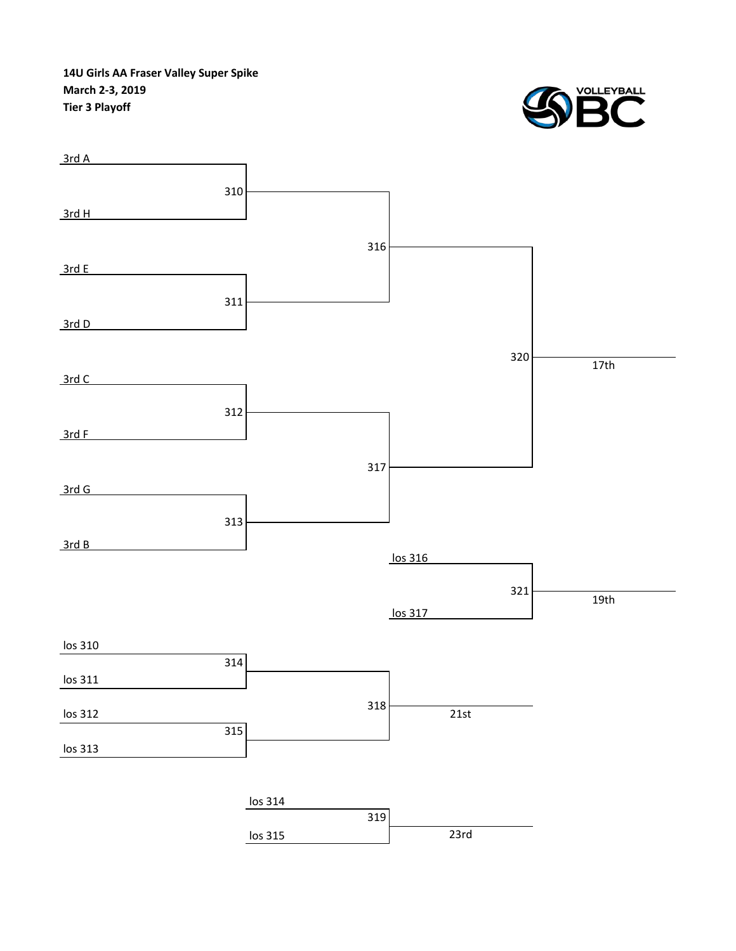**14U Girls AA Fraser Valley Super Spike March 2-3, 2019 Tier 3 Playoff**



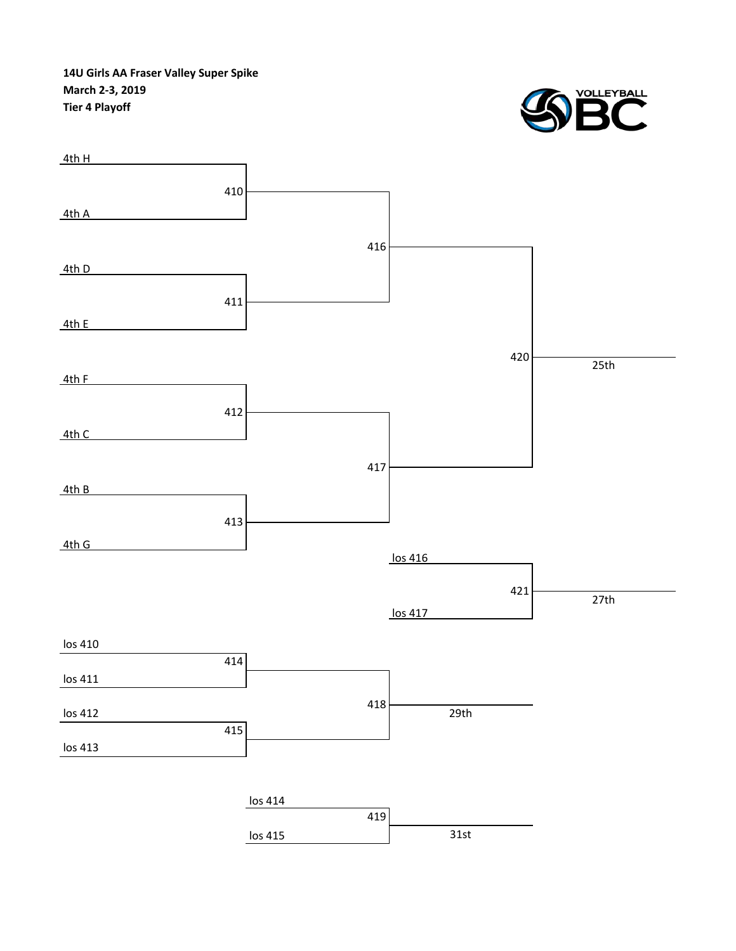**14U Girls AA Fraser Valley Super Spike March 2-3, 2019 Tier 4 Playoff**